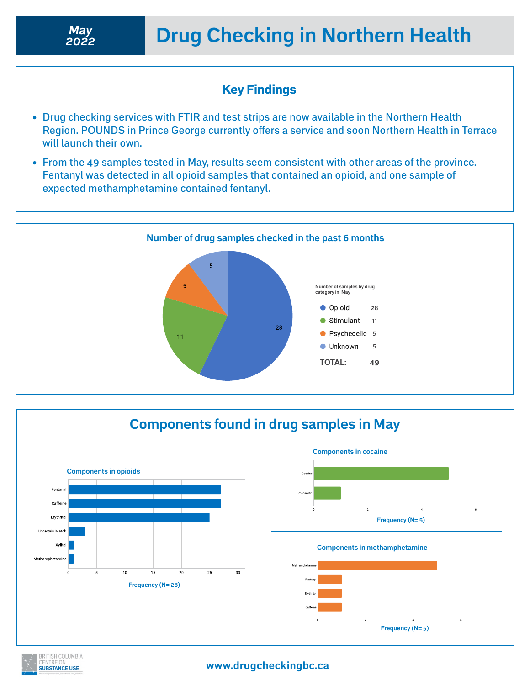## Key Findings

- Drug checking services with FTIR and test strips are now available in the Northern Health Region. POUNDS in Prince George currently offers a service and soon Northern Health in Terrace will launch their own.
- From the 49 samples tested in May, results seem consistent with other areas of the province. Fentanyl was detected in all opioid samples that contained an opioid, and one sample of expected methamphetamine contained fentanyl.



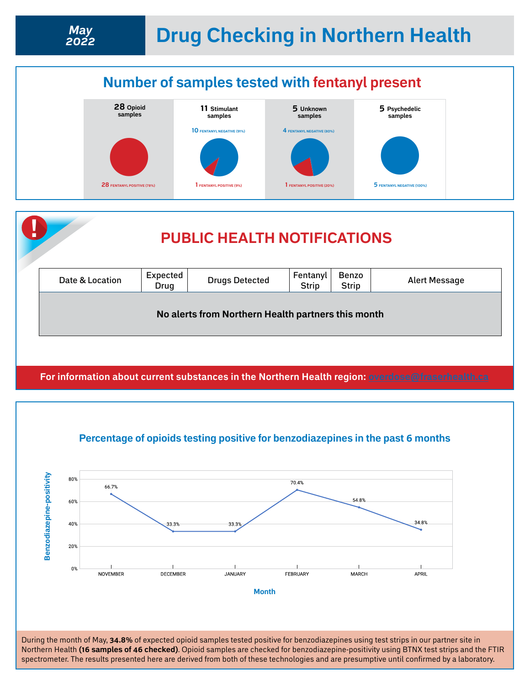

*2022*



**For information about current substances in the Northern Health region: [overdose@fraserhealth.ca](http://overdose@fraserhealth.ca)**





During the month of May, **34.8%** of expected opioid samples tested positive for benzodiazepines using test strips in our partner site in Northern Health **(16 samples of 46 checked)**. Opioid samples are checked for benzodiazepine-positivity using BTNX test strips and the FTIR spectrometer. The results presented here are derived from both of these technologies and are presumptive until confirmed by a laboratory.